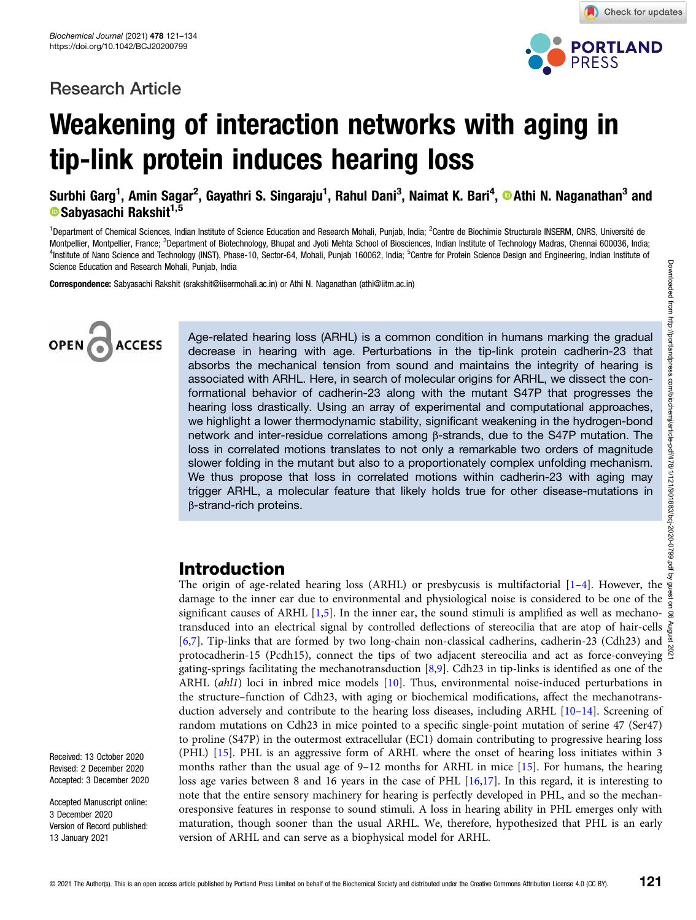# Research Article



Check for updates

# Weakening of interaction networks with aging in tip-link protein induces hearing loss

Surbhi Garg<sup>1</sup>, Amin Sagar<sup>2</sup>, Gayathri S. Singaraju<sup>1</sup>, Rahul Dani<sup>3</sup>, Naimat K. Bari<sup>4</sup>, ®Athi N. Naganathan<sup>3</sup> and **• Sabyasachi Rakshit**<sup>1,5</sup>

<sup>1</sup>Department of Chemical Sciences, Indian Institute of Science Education and Research Mohali, Punjab, India; <sup>2</sup> Centre de Biochimie Structurale INSERM, CNRS, Université de Montpellier, Montpellier, France; <sup>3</sup>Department of Biotechnology, Bhupat and Jyoti Mehta School of Biosciences, Indian Institute of Technology Madras, Chennai 600036, India; Department of Biotechnology, Bhupat and Jyoti Mehta School of Biosciences, Indian Institute of Technology Madras, Chennai 600036, India; <sup>4</sup>Institute of Nano Science and Technology (INST), Phase-10, Sector-64, Mohali, Punjab 160062, India; <sup>5</sup> Centre for Protein Science Design and Engineering, Indian Institute of Science Education and Research Mohali, Punjab, India

Correspondence: Sabyasachi Rakshit (srakshit@iisermohali.ac.in) or Athi N. Naganathan (athi@iitm.ac.in)



Age-related hearing loss (ARHL) is a common condition in humans marking the gradual decrease in hearing with age. Perturbations in the tip-link protein cadherin-23 that absorbs the mechanical tension from sound and maintains the integrity of hearing is associated with ARHL. Here, in search of molecular origins for ARHL, we dissect the conformational behavior of cadherin-23 along with the mutant S47P that progresses the hearing loss drastically. Using an array of experimental and computational approaches, we highlight a lower thermodynamic stability, significant weakening in the hydrogen-bond network and inter-residue correlations among β-strands, due to the S47P mutation. The loss in correlated motions translates to not only a remarkable two orders of magnitude slower folding in the mutant but also to a proportionately complex unfolding mechanism. We thus propose that loss in correlated motions within cadherin-23 with aging may trigger ARHL, a molecular feature that likely holds true for other disease-mutations in β-strand-rich proteins.

# Introduction

The origin of age-related hearing loss (ARHL) or presbycusis is multifactorial [1-4]. However, the damage to the inner ear due to environmental and physiological noise is considered to be one of the significant causes of ARHL [1,5]. In the inner ear, the sound stimuli is amplified as well as mechanotransduced into an electrical signal by controlled deflections of stereocilia that are atop of hair-cells [6,7]. Tip-links that are formed by two long-chain non-classical cadherins, cadherin-23 (Cdh23) and  $\frac{56}{6}$ protocadherin-15 (Pcdh15), connect the tips of two adjacent stereocilia and act as force-conveying  $\frac{8}{2}$ gating-springs facilitating the mechanotransduction [8,9]. Cdh23 in tip-links is identified as one of the ARHL (ahl1) loci in inbred mice models [10]. Thus, environmental noise-induced perturbations in the structure–function of Cdh23, with aging or biochemical modifications, affect the mechanotransduction adversely and contribute to the hearing loss diseases, including ARHL [10–14]. Screening of random mutations on Cdh23 in mice pointed to a specific single-point mutation of serine 47 (Ser47) to proline (S47P) in the outermost extracellular (EC1) domain contributing to progressive hearing loss (PHL) [15]. PHL is an aggressive form of ARHL where the onset of hearing loss initiates within 3 months rather than the usual age of 9-12 months for ARHL in mice [15]. For humans, the hearing loss age varies between 8 and 16 years in the case of PHL [16,17]. In this regard, it is interesting to note that the entire sensory machinery for hearing is perfectly developed in PHL, and so the mechanoresponsive features in response to sound stimuli. A loss in hearing ability in PHL emerges only with maturation, though sooner than the usual ARHL. We, therefore, hypothesized that PHL is an early version of ARHL and can serve as a biophysical model for ARHL.

Received: 13 October 2020 Revised: 2 December 2020 Accepted: 3 December 2020

Accepted Manuscript online: 3 December 2020 Version of Record published: 13 January 2021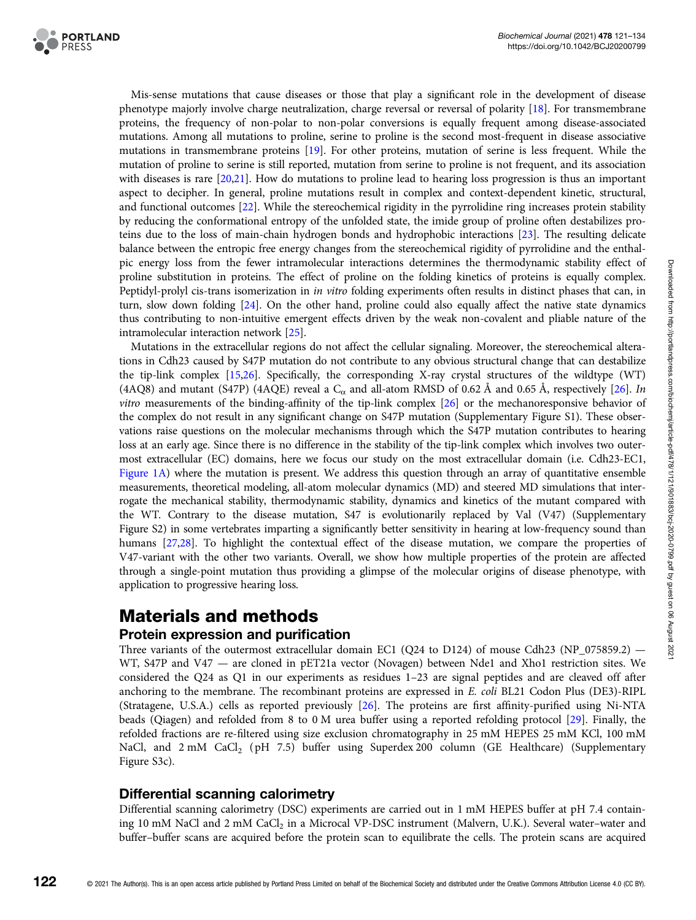Mis-sense mutations that cause diseases or those that play a significant role in the development of disease phenotype majorly involve charge neutralization, charge reversal or reversal of polarity [18]. For transmembrane proteins, the frequency of non-polar to non-polar conversions is equally frequent among disease-associated mutations. Among all mutations to proline, serine to proline is the second most-frequent in disease associative mutations in transmembrane proteins [19]. For other proteins, mutation of serine is less frequent. While the mutation of proline to serine is still reported, mutation from serine to proline is not frequent, and its association with diseases is rare [20,21]. How do mutations to proline lead to hearing loss progression is thus an important aspect to decipher. In general, proline mutations result in complex and context-dependent kinetic, structural, and functional outcomes [22]. While the stereochemical rigidity in the pyrrolidine ring increases protein stability by reducing the conformational entropy of the unfolded state, the imide group of proline often destabilizes proteins due to the loss of main-chain hydrogen bonds and hydrophobic interactions [23]. The resulting delicate balance between the entropic free energy changes from the stereochemical rigidity of pyrrolidine and the enthalpic energy loss from the fewer intramolecular interactions determines the thermodynamic stability effect of proline substitution in proteins. The effect of proline on the folding kinetics of proteins is equally complex. Peptidyl-prolyl cis-trans isomerization in in vitro folding experiments often results in distinct phases that can, in turn, slow down folding [24]. On the other hand, proline could also equally affect the native state dynamics thus contributing to non-intuitive emergent effects driven by the weak non-covalent and pliable nature of the intramolecular interaction network [25].

Mutations in the extracellular regions do not affect the cellular signaling. Moreover, the stereochemical alterations in Cdh23 caused by S47P mutation do not contribute to any obvious structural change that can destabilize the tip-link complex [15,26]. Specifically, the corresponding X-ray crystal structures of the wildtype (WT) (4AQ8) and mutant (S47P) (4AQE) reveal a  $C_{\alpha}$  and all-atom RMSD of 0.62 Å and 0.65 Å, respectively [26]. In vitro measurements of the binding-affinity of the tip-link complex [26] or the mechanoresponsive behavior of the complex do not result in any significant change on S47P mutation (Supplementary Figure S1). These observations raise questions on the molecular mechanisms through which the S47P mutation contributes to hearing loss at an early age. Since there is no difference in the stability of the tip-link complex which involves two outermost extracellular (EC) domains, here we focus our study on the most extracellular domain (i.e. Cdh23-EC1, Figure 1A) where the mutation is present. We address this question through an array of quantitative ensemble measurements, theoretical modeling, all-atom molecular dynamics (MD) and steered MD simulations that interrogate the mechanical stability, thermodynamic stability, dynamics and kinetics of the mutant compared with the WT. Contrary to the disease mutation, S47 is evolutionarily replaced by Val (V47) (Supplementary Figure S2) in some vertebrates imparting a significantly better sensitivity in hearing at low-frequency sound than humans [27,28]. To highlight the contextual effect of the disease mutation, we compare the properties of V47-variant with the other two variants. Overall, we show how multiple properties of the protein are affected through a single-point mutation thus providing a glimpse of the molecular origins of disease phenotype, with application to progressive hearing loss.

# Materials and methods

# Protein expression and purification

Three variants of the outermost extracellular domain EC1 (O24 to D124) of mouse Cdh23 (NP\_075859.2) — WT, S47P and V47 — are cloned in pET21a vector (Novagen) between Nde1 and Xho1 restriction sites. We considered the Q24 as Q1 in our experiments as residues 1–23 are signal peptides and are cleaved off after anchoring to the membrane. The recombinant proteins are expressed in E. coli BL21 Codon Plus (DE3)-RIPL (Stratagene, U.S.A.) cells as reported previously [26]. The proteins are first affinity-purified using Ni-NTA beads (Qiagen) and refolded from 8 to 0 M urea buffer using a reported refolding protocol [29]. Finally, the refolded fractions are re-filtered using size exclusion chromatography in 25 mM HEPES 25 mM KCl, 100 mM NaCl, and 2 mM CaCl<sub>2</sub> (pH 7.5) buffer using Superdex 200 column (GE Healthcare) (Supplementary Figure S3c).

# Differential scanning calorimetry

Differential scanning calorimetry (DSC) experiments are carried out in 1 mM HEPES buffer at pH 7.4 containing 10 mM NaCl and 2 mM CaCl<sub>2</sub> in a Microcal VP-DSC instrument (Malvern, U.K.). Several water-water and buffer–buffer scans are acquired before the protein scan to equilibrate the cells. The protein scans are acquired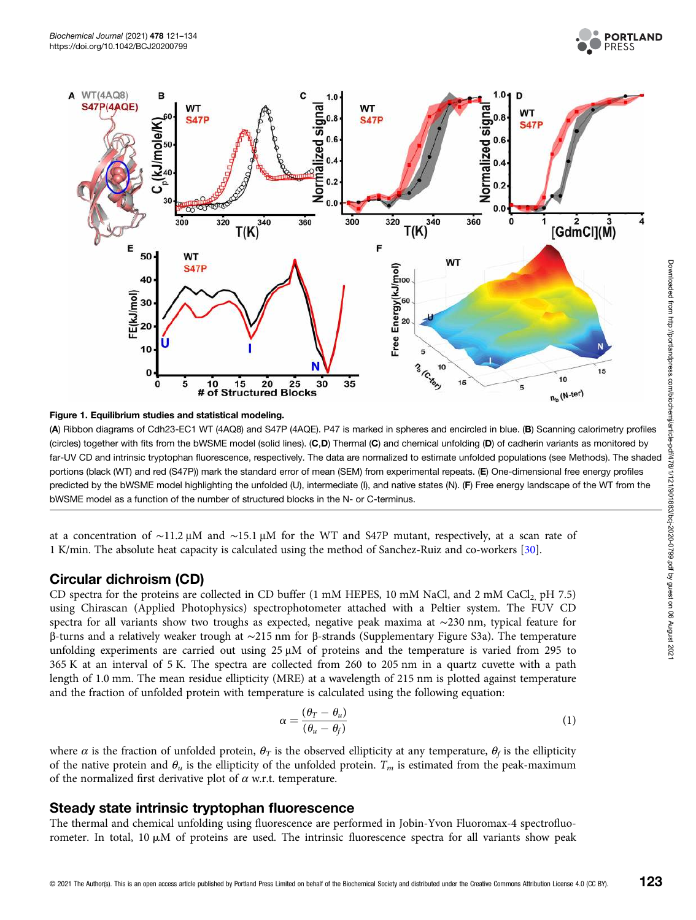





(A) Ribbon diagrams of Cdh23-EC1 WT (4AQ8) and S47P (4AQE). P47 is marked in spheres and encircled in blue. (B) Scanning calorimetry profiles (circles) together with fits from the bWSME model (solid lines). (C,D) Thermal (C) and chemical unfolding (D) of cadherin variants as monitored by far-UV CD and intrinsic tryptophan fluorescence, respectively. The data are normalized to estimate unfolded populations (see Methods). The shaded portions (black (WT) and red (S47P)) mark the standard error of mean (SEM) from experimental repeats. (E) One-dimensional free energy profiles predicted by the bWSME model highlighting the unfolded (U), intermediate (I), and native states (N). (F) Free energy landscape of the WT from the bWSME model as a function of the number of structured blocks in the N- or C-terminus.

at a concentration of ∼11.2 μM and ∼15.1 μM for the WT and S47P mutant, respectively, at a scan rate of 1 K/min. The absolute heat capacity is calculated using the method of Sanchez-Ruiz and co-workers [30].

#### Circular dichroism (CD)

CD spectra for the proteins are collected in CD buffer  $(1 \text{ mM HEPES}, 10 \text{ mM NaCl}, \text{ and } 2 \text{ mM CaCl}$ , pH 7.5) using Chirascan (Applied Photophysics) spectrophotometer attached with a Peltier system. The FUV CD spectra for all variants show two troughs as expected, negative peak maxima at ∼230 nm, typical feature for β-turns and a relatively weaker trough at ∼215 nm for β-strands (Supplementary Figure S3a). The temperature unfolding experiments are carried out using 25 μM of proteins and the temperature is varied from 295 to 365 K at an interval of 5 K. The spectra are collected from 260 to 205 nm in a quartz cuvette with a path length of 1.0 mm. The mean residue ellipticity (MRE) at a wavelength of 215 nm is plotted against temperature and the fraction of unfolded protein with temperature is calculated using the following equation:

$$
\alpha = \frac{(\theta_T - \theta_u)}{(\theta_u - \theta_f)}\tag{1}
$$

where  $\alpha$  is the fraction of unfolded protein,  $\theta_T$  is the observed ellipticity at any temperature,  $\theta_f$  is the ellipticity of the native protein and  $\theta_u$  is the ellipticity of the unfolded protein.  $T_m$  is estimated from the peak-maximum of the normalized first derivative plot of  $\alpha$  w.r.t. temperature.

#### Steady state intrinsic tryptophan fluorescence

The thermal and chemical unfolding using fluorescence are performed in Jobin-Yvon Fluoromax-4 spectrofluorometer. In total, 10  $\mu$ M of proteins are used. The intrinsic fluorescence spectra for all variants show peak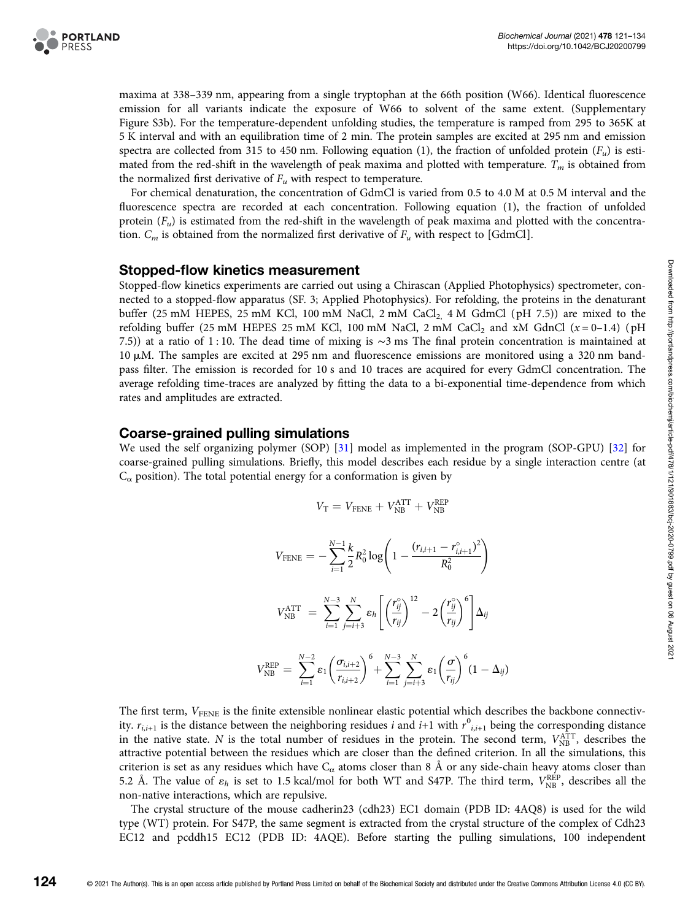

maxima at 338–339 nm, appearing from a single tryptophan at the 66th position (W66). Identical fluorescence emission for all variants indicate the exposure of W66 to solvent of the same extent. (Supplementary Figure S3b). For the temperature-dependent unfolding studies, the temperature is ramped from 295 to 365K at 5 K interval and with an equilibration time of 2 min. The protein samples are excited at 295 nm and emission spectra are collected from 315 to 450 nm. Following equation (1), the fraction of unfolded protein  $(F_u)$  is estimated from the red-shift in the wavelength of peak maxima and plotted with temperature.  $T_m$  is obtained from the normalized first derivative of  $F_u$  with respect to temperature.

For chemical denaturation, the concentration of GdmCl is varied from 0.5 to 4.0 M at 0.5 M interval and the fluorescence spectra are recorded at each concentration. Following equation (1), the fraction of unfolded protein  $(F_u)$  is estimated from the red-shift in the wavelength of peak maxima and plotted with the concentration.  $C_m$  is obtained from the normalized first derivative of  $F_u$  with respect to [GdmCl].

#### Stopped-flow kinetics measurement

Stopped-flow kinetics experiments are carried out using a Chirascan (Applied Photophysics) spectrometer, connected to a stopped-flow apparatus (SF. 3; Applied Photophysics). For refolding, the proteins in the denaturant buffer (25 mM HEPES, 25 mM KCl, 100 mM NaCl, 2 mM CaCl<sub>2</sub>, 4 M GdmCl (pH 7.5)) are mixed to the refolding buffer (25 mM HEPES 25 mM KCl, 100 mM NaCl, 2 mM CaCl<sub>2</sub> and xM GdnCl  $(x=0-1.4)$  (pH 7.5)) at a ratio of 1 : 10. The dead time of mixing is ∼3 ms The final protein concentration is maintained at 10 mM. The samples are excited at 295 nm and fluorescence emissions are monitored using a 320 nm bandpass filter. The emission is recorded for 10 s and 10 traces are acquired for every GdmCl concentration. The average refolding time-traces are analyzed by fitting the data to a bi-exponential time-dependence from which rates and amplitudes are extracted.

### Coarse-grained pulling simulations

We used the self organizing polymer (SOP) [31] model as implemented in the program (SOP-GPU) [32] for coarse-grained pulling simulations. Briefly, this model describes each residue by a single interaction centre (at  $C_{\alpha}$  position). The total potential energy for a conformation is given by

$$
V_{\mathrm{T}} = V_{\mathrm{FENE}} + V_{\mathrm{NB}}^{\mathrm{ATT}} + V_{\mathrm{NB}}^{\mathrm{REP}}
$$

$$
V_{\text{FENE}} = -\sum_{i=1}^{N-1} \frac{k}{2} R_0^2 \log \left( 1 - \frac{(r_{i,i+1} - r_{i,i+1}^{\circ})^2}{R_0^2} \right)
$$
  

$$
V_{\text{NB}}^{\text{ATT}} = \sum_{i=1}^{N-3} \sum_{j=i+3}^{N} \varepsilon_h \left[ \left( \frac{r_{ij}^{\circ}}{r_{ij}} \right)^{12} - 2 \left( \frac{r_{ij}^{\circ}}{r_{ij}} \right)^6 \right] \Delta_{ij}
$$
  

$$
V_{\text{NB}}^{\text{REP}} = \sum_{i=1}^{N-2} \varepsilon_1 \left( \frac{\sigma_{i,i+2}}{r_{i,i+2}} \right)^6 + \sum_{i=1}^{N-3} \sum_{j=i+3}^{N} \varepsilon_1 \left( \frac{\sigma}{r_{ij}} \right)^6 (1 - \Delta_{ij})
$$

The first term,  $V_{\text{FENE}}$  is the finite extensible nonlinear elastic potential which describes the backbone connectivity.  $r_{i,i+1}$  is the distance between the neighboring residues *i* and *i*+1 with  $r^0_{i,i+1}$  being the corresponding distance in the native state. N is the total number of residues in the protein. The second term,  $V_{NB}^{\text{ATT}}$ , describes the attractive potential between the residues which are closer than the defined criterion. In all the simulations, this criterion is set as any residues which have  $C_{\alpha}$  atoms closer than 8 Å or any side-chain heavy atoms closer than 5.2 Å. The value of  $\varepsilon_h$  is set to 1.5 kcal/mol for both WT and S47P. The third term,  $V_{\text{NB}}^{\text{REP}}$ , describes all the non-native interactions, which are repulsive.

The crystal structure of the mouse cadherin23 (cdh23) EC1 domain (PDB ID: 4AQ8) is used for the wild type (WT) protein. For S47P, the same segment is extracted from the crystal structure of the complex of Cdh23 EC12 and pcddh15 EC12 (PDB ID: 4AQE). Before starting the pulling simulations, 100 independent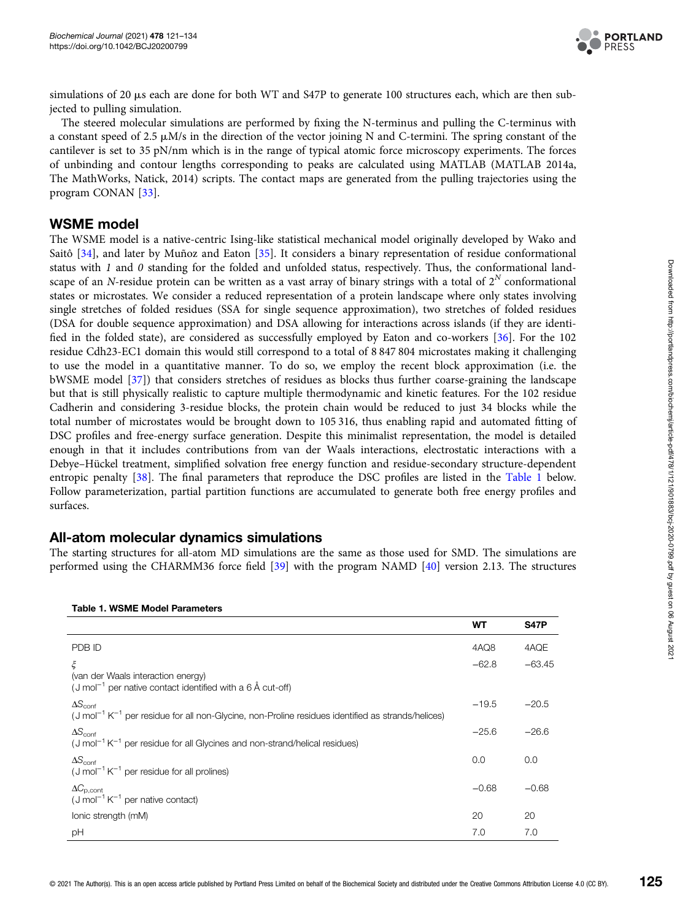

simulations of 20  $\mu$ s each are done for both WT and S47P to generate 100 structures each, which are then subjected to pulling simulation.

The steered molecular simulations are performed by fixing the N-terminus and pulling the C-terminus with a constant speed of 2.5  $\mu$ M/s in the direction of the vector joining N and C-termini. The spring constant of the cantilever is set to 35 pN/nm which is in the range of typical atomic force microscopy experiments. The forces of unbinding and contour lengths corresponding to peaks are calculated using MATLAB (MATLAB 2014a, The MathWorks, Natick, 2014) scripts. The contact maps are generated from the pulling trajectories using the program CONAN [33].

## WSME model

The WSME model is a native-centric Ising-like statistical mechanical model originally developed by Wako and Saitô [34], and later by Muñoz and Eaton [35]. It considers a binary representation of residue conformational status with  $1$  and  $0$  standing for the folded and unfolded status, respectively. Thus, the conformational landscape of an N-residue protein can be written as a vast array of binary strings with a total of  $2^N$  conformational states or microstates. We consider a reduced representation of a protein landscape where only states involving single stretches of folded residues (SSA for single sequence approximation), two stretches of folded residues (DSA for double sequence approximation) and DSA allowing for interactions across islands (if they are identified in the folded state), are considered as successfully employed by Eaton and co-workers [36]. For the 102 residue Cdh23-EC1 domain this would still correspond to a total of 8 847 804 microstates making it challenging to use the model in a quantitative manner. To do so, we employ the recent block approximation (i.e. the bWSME model [37]) that considers stretches of residues as blocks thus further coarse-graining the landscape but that is still physically realistic to capture multiple thermodynamic and kinetic features. For the 102 residue Cadherin and considering 3-residue blocks, the protein chain would be reduced to just 34 blocks while the total number of microstates would be brought down to 105 316, thus enabling rapid and automated fitting of DSC profiles and free-energy surface generation. Despite this minimalist representation, the model is detailed enough in that it includes contributions from van der Waals interactions, electrostatic interactions with a Debye–Hückel treatment, simplified solvation free energy function and residue-secondary structure-dependent entropic penalty [38]. The final parameters that reproduce the DSC profiles are listed in the Table 1 below. Follow parameterization, partial partition functions are accumulated to generate both free energy profiles and surfaces.

## All-atom molecular dynamics simulations

The starting structures for all-atom MD simulations are the same as those used for SMD. The simulations are performed using the CHARMM36 force field [39] with the program NAMD [40] version 2.13. The structures

| TADIC T. WONE MOUCL FAIAMCLCIS                                                                                                                |         |             |
|-----------------------------------------------------------------------------------------------------------------------------------------------|---------|-------------|
|                                                                                                                                               | WT      | <b>S47P</b> |
| PDB ID                                                                                                                                        | 4AQ8    | 4AQE        |
| ξ                                                                                                                                             | $-62.8$ | $-63.45$    |
| (van der Waals interaction energy)<br>(J mol <sup>-1</sup> per native contact identified with a $6 \text{ Å}$ cut-off)                        |         |             |
| $\Delta S_{\text{conf}}$                                                                                                                      | $-19.5$ | $-20.5$     |
| $(J \text{ mol}^{-1} K^{-1}$ per residue for all non-Glycine, non-Proline residues identified as strands/helices)<br>$\Delta S_{\text{conf}}$ | $-25.6$ | $-26.6$     |
| $(J \text{ mol}^{-1} K^{-1}$ per residue for all Glycines and non-strand/helical residues)                                                    |         |             |
| $\Delta S_{\text{conf}}$                                                                                                                      | 0.0     | 0.0         |
| $(J \text{ mol}^{-1} K^{-1}$ per residue for all prolines)                                                                                    |         |             |
| $\Delta C_{\rm p, cont}$                                                                                                                      | $-0.68$ | $-0.68$     |
| $(J \text{ mol}^{-1} K^{-1}$ per native contact)                                                                                              |         |             |
| lonic strength (mM)                                                                                                                           | 20      | 20          |
| рH                                                                                                                                            | 7.0     | 7.0         |

#### Table 1. WSME Model Parameters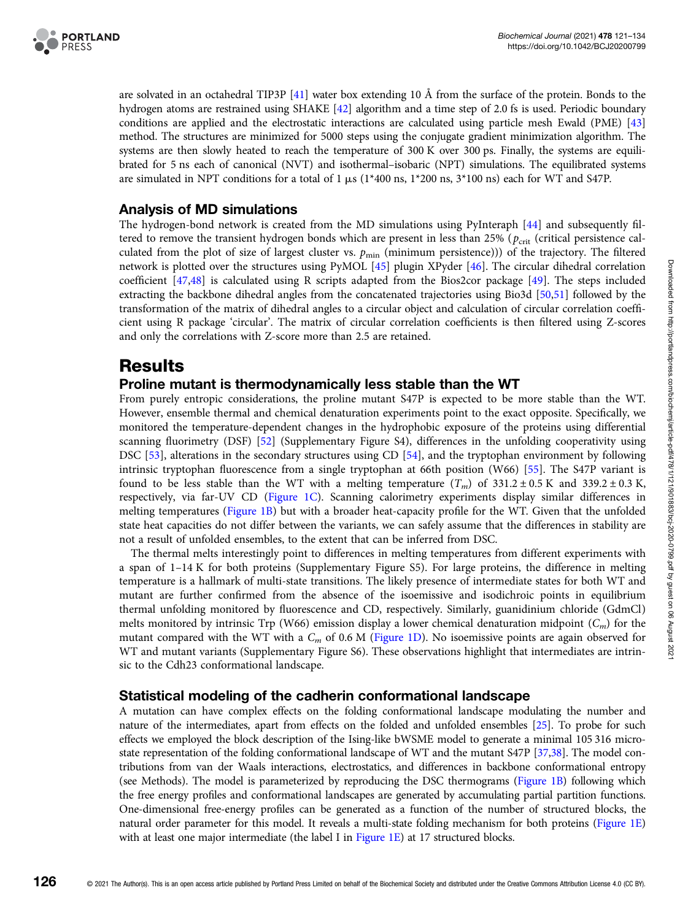

are solvated in an octahedral TIP3P [41] water box extending 10 Å from the surface of the protein. Bonds to the hydrogen atoms are restrained using SHAKE [42] algorithm and a time step of 2.0 fs is used. Periodic boundary conditions are applied and the electrostatic interactions are calculated using particle mesh Ewald (PME) [43] method. The structures are minimized for 5000 steps using the conjugate gradient minimization algorithm. The systems are then slowly heated to reach the temperature of 300 K over 300 ps. Finally, the systems are equilibrated for 5 ns each of canonical (NVT) and isothermal–isobaric (NPT) simulations. The equilibrated systems are simulated in NPT conditions for a total of 1  $\mu$ s (1\*400 ns, 1\*200 ns, 3\*100 ns) each for WT and S47P.

## Analysis of MD simulations

The hydrogen-bond network is created from the MD simulations using PyInteraph [44] and subsequently filtered to remove the transient hydrogen bonds which are present in less than 25% ( $p_{\text{crit}}$  (critical persistence calculated from the plot of size of largest cluster vs.  $p_{\min}$  (minimum persistence))) of the trajectory. The filtered network is plotted over the structures using PyMOL [45] plugin XPyder [46]. The circular dihedral correlation coefficient [47,48] is calculated using R scripts adapted from the Bios2cor package [49]. The steps included extracting the backbone dihedral angles from the concatenated trajectories using Bio3d [50,51] followed by the transformation of the matrix of dihedral angles to a circular object and calculation of circular correlation coefficient using R package 'circular'. The matrix of circular correlation coefficients is then filtered using Z-scores and only the correlations with Z-score more than 2.5 are retained.

# Results

# Proline mutant is thermodynamically less stable than the WT

From purely entropic considerations, the proline mutant S47P is expected to be more stable than the WT. However, ensemble thermal and chemical denaturation experiments point to the exact opposite. Specifically, we monitored the temperature-dependent changes in the hydrophobic exposure of the proteins using differential scanning fluorimetry (DSF) [52] (Supplementary Figure S4), differences in the unfolding cooperativity using DSC [53], alterations in the secondary structures using CD [54], and the tryptophan environment by following intrinsic tryptophan fluorescence from a single tryptophan at 66th position (W66) [55]. The S47P variant is found to be less stable than the WT with a melting temperature  $(T_m)$  of 331.2 ± 0.5 K and 339.2 ± 0.3 K, respectively, via far-UV CD (Figure 1C). Scanning calorimetry experiments display similar differences in melting temperatures (Figure 1B) but with a broader heat-capacity profile for the WT. Given that the unfolded state heat capacities do not differ between the variants, we can safely assume that the differences in stability are not a result of unfolded ensembles, to the extent that can be inferred from DSC.

The thermal melts interestingly point to differences in melting temperatures from different experiments with a span of 1–14 K for both proteins (Supplementary Figure S5). For large proteins, the difference in melting temperature is a hallmark of multi-state transitions. The likely presence of intermediate states for both WT and mutant are further confirmed from the absence of the isoemissive and isodichroic points in equilibrium thermal unfolding monitored by fluorescence and CD, respectively. Similarly, guanidinium chloride (GdmCl) melts monitored by intrinsic Trp (W66) emission display a lower chemical denaturation midpoint  $(C_m)$  for the mutant compared with the WT with a  $C_m$  of 0.6 M (Figure 1D). No isoemissive points are again observed for WT and mutant variants (Supplementary Figure S6). These observations highlight that intermediates are intrinsic to the Cdh23 conformational landscape.

## Statistical modeling of the cadherin conformational landscape

A mutation can have complex effects on the folding conformational landscape modulating the number and nature of the intermediates, apart from effects on the folded and unfolded ensembles [25]. To probe for such effects we employed the block description of the Ising-like bWSME model to generate a minimal 105 316 microstate representation of the folding conformational landscape of WT and the mutant S47P [37,38]. The model contributions from van der Waals interactions, electrostatics, and differences in backbone conformational entropy (see Methods). The model is parameterized by reproducing the DSC thermograms (Figure 1B) following which the free energy profiles and conformational landscapes are generated by accumulating partial partition functions. One-dimensional free-energy profiles can be generated as a function of the number of structured blocks, the natural order parameter for this model. It reveals a multi-state folding mechanism for both proteins (Figure 1E) with at least one major intermediate (the label I in Figure 1E) at 17 structured blocks.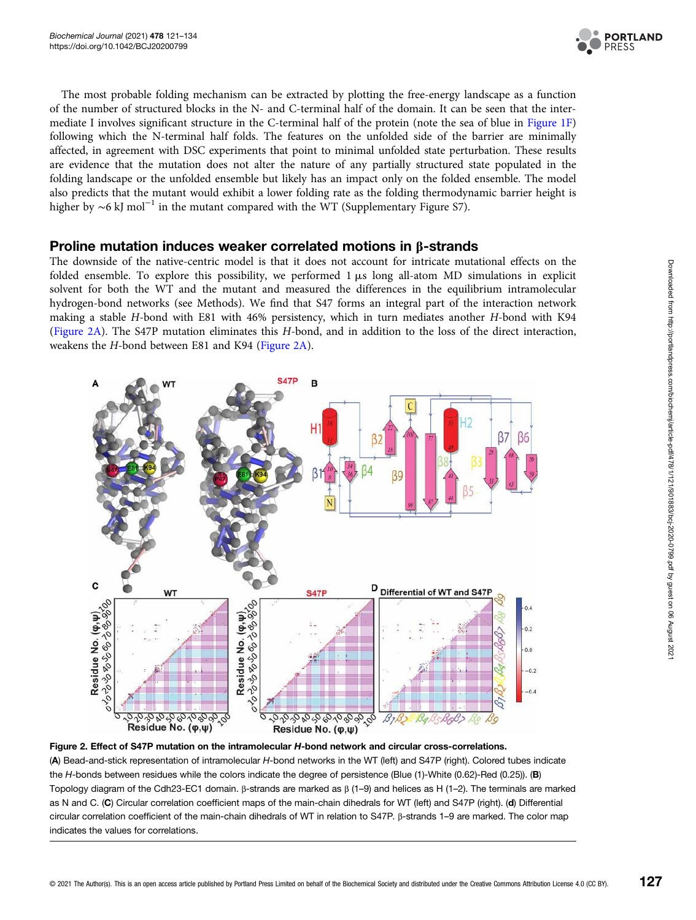

The most probable folding mechanism can be extracted by plotting the free-energy landscape as a function of the number of structured blocks in the N- and C-terminal half of the domain. It can be seen that the intermediate I involves significant structure in the C-terminal half of the protein (note the sea of blue in Figure 1F) following which the N-terminal half folds. The features on the unfolded side of the barrier are minimally affected, in agreement with DSC experiments that point to minimal unfolded state perturbation. These results are evidence that the mutation does not alter the nature of any partially structured state populated in the folding landscape or the unfolded ensemble but likely has an impact only on the folded ensemble. The model also predicts that the mutant would exhibit a lower folding rate as the folding thermodynamic barrier height is higher by ∼6 kJ mol−<sup>1</sup> in the mutant compared with the WT (Supplementary Figure S7).

### Proline mutation induces weaker correlated motions in β-strands

The downside of the native-centric model is that it does not account for intricate mutational effects on the folded ensemble. To explore this possibility, we performed  $1 \mu s$  long all-atom MD simulations in explicit solvent for both the WT and the mutant and measured the differences in the equilibrium intramolecular hydrogen-bond networks (see Methods). We find that S47 forms an integral part of the interaction network making a stable H-bond with E81 with 46% persistency, which in turn mediates another H-bond with K94 (Figure 2A). The S47P mutation eliminates this H-bond, and in addition to the loss of the direct interaction, weakens the H-bond between E81 and K94 (Figure 2A).



Figure 2. Effect of S47P mutation on the intramolecular H-bond network and circular cross-correlations. (A) Bead-and-stick representation of intramolecular H-bond networks in the WT (left) and S47P (right). Colored tubes indicate the H-bonds between residues while the colors indicate the degree of persistence (Blue (1)-White (0.62)-Red (0.25)). (B) Topology diagram of the Cdh23-EC1 domain. β-strands are marked as β (1–9) and helices as H (1–2). The terminals are marked as N and C. (C) Circular correlation coefficient maps of the main-chain dihedrals for WT (left) and S47P (right). (d) Differential circular correlation coefficient of the main-chain dihedrals of WT in relation to S47P. β-strands 1–9 are marked. The color map indicates the values for correlations.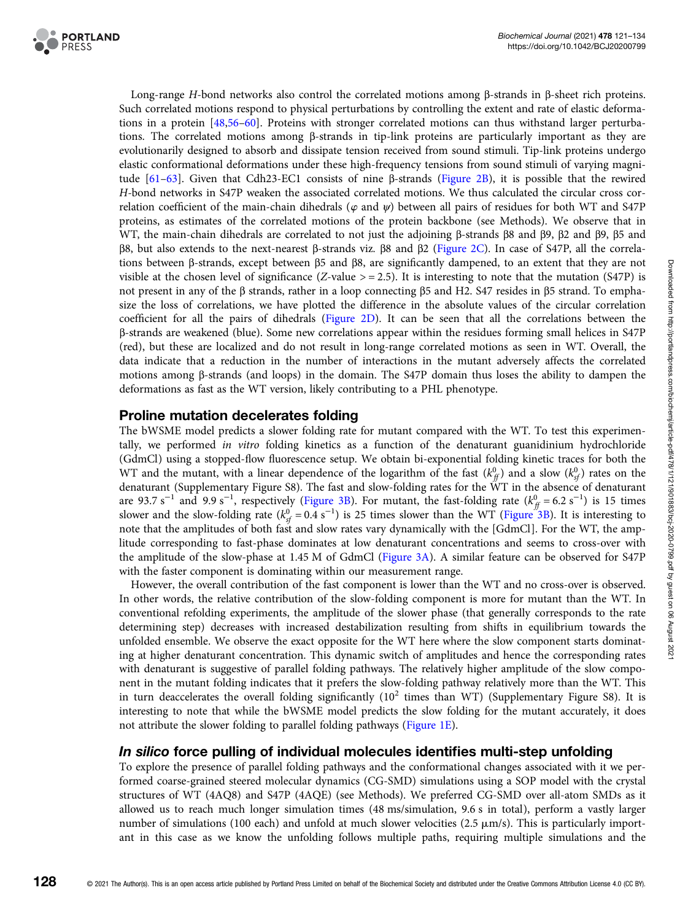

Long-range H-bond networks also control the correlated motions among β-strands in β-sheet rich proteins. Such correlated motions respond to physical perturbations by controlling the extent and rate of elastic deformations in a protein [48,56–60]. Proteins with stronger correlated motions can thus withstand larger perturbations. The correlated motions among β-strands in tip-link proteins are particularly important as they are evolutionarily designed to absorb and dissipate tension received from sound stimuli. Tip-link proteins undergo elastic conformational deformations under these high-frequency tensions from sound stimuli of varying magnitude [61–63]. Given that Cdh23-EC1 consists of nine β-strands (Figure 2B), it is possible that the rewired H-bond networks in S47P weaken the associated correlated motions. We thus calculated the circular cross correlation coefficient of the main-chain dihedrals ( $\varphi$  and  $\psi$ ) between all pairs of residues for both WT and S47P proteins, as estimates of the correlated motions of the protein backbone (see Methods). We observe that in WT, the main-chain dihedrals are correlated to not just the adjoining β-strands β8 and β9, β2 and β9, β5 and β8, but also extends to the next-nearest β-strands viz. β8 and β2 (Figure 2C). In case of S47P, all the correlations between β-strands, except between β5 and β8, are significantly dampened, to an extent that they are not visible at the chosen level of significance (Z-value  $> = 2.5$ ). It is interesting to note that the mutation (S47P) is not present in any of the β strands, rather in a loop connecting β5 and H2. S47 resides in β5 strand. To emphasize the loss of correlations, we have plotted the difference in the absolute values of the circular correlation coefficient for all the pairs of dihedrals (Figure 2D). It can be seen that all the correlations between the β-strands are weakened (blue). Some new correlations appear within the residues forming small helices in S47P (red), but these are localized and do not result in long-range correlated motions as seen in WT. Overall, the data indicate that a reduction in the number of interactions in the mutant adversely affects the correlated motions among β-strands (and loops) in the domain. The S47P domain thus loses the ability to dampen the deformations as fast as the WT version, likely contributing to a PHL phenotype.

### Proline mutation decelerates folding

The bWSME model predicts a slower folding rate for mutant compared with the WT. To test this experimentally, we performed in vitro folding kinetics as a function of the denaturant guanidinium hydrochloride (GdmCl) using a stopped-flow fluorescence setup. We obtain bi-exponential folding kinetic traces for both the WT and the mutant, with a linear dependence of the logarithm of the fast  $(k_f^0)$  and a slow  $(k_{sf}^0)$  rates on the denaturant (Supplementary Figure S8). The fast and slow-folding rates for the WT in the absence of denaturant are 93.7 s<sup>-1</sup> and 9.9 s<sup>-1</sup>, respectively (Figure 3B). For mutant, the fast-folding rate ( $k_{ff}^0$  = 6.2 s<sup>-1</sup>) is 15 times slower and the slow-folding rate  $(k_{sf}^{0} = 0.4 \text{ s}^{-1})$  is 25 times slower than the WT (Figure 3B). It is interesting to note that the amplitudes of both fast and slow rates vary dynamically with the [GdmCl]. For the WT, the amplitude corresponding to fast-phase dominates at low denaturant concentrations and seems to cross-over with the amplitude of the slow-phase at 1.45 M of GdmCl (Figure 3A). A similar feature can be observed for S47P with the faster component is dominating within our measurement range.

However, the overall contribution of the fast component is lower than the WT and no cross-over is observed. In other words, the relative contribution of the slow-folding component is more for mutant than the WT. In conventional refolding experiments, the amplitude of the slower phase (that generally corresponds to the rate determining step) decreases with increased destabilization resulting from shifts in equilibrium towards the unfolded ensemble. We observe the exact opposite for the WT here where the slow component starts dominating at higher denaturant concentration. This dynamic switch of amplitudes and hence the corresponding rates with denaturant is suggestive of parallel folding pathways. The relatively higher amplitude of the slow component in the mutant folding indicates that it prefers the slow-folding pathway relatively more than the WT. This in turn deaccelerates the overall folding significantly  $(10^2$  times than WT) (Supplementary Figure S8). It is interesting to note that while the bWSME model predicts the slow folding for the mutant accurately, it does not attribute the slower folding to parallel folding pathways (Figure 1E).

## In silico force pulling of individual molecules identifies multi-step unfolding

To explore the presence of parallel folding pathways and the conformational changes associated with it we performed coarse-grained steered molecular dynamics (CG-SMD) simulations using a SOP model with the crystal structures of WT (4AQ8) and S47P (4AQE) (see Methods). We preferred CG-SMD over all-atom SMDs as it allowed us to reach much longer simulation times (48 ms/simulation, 9.6 s in total), perform a vastly larger number of simulations (100 each) and unfold at much slower velocities (2.5  $\mu$ m/s). This is particularly important in this case as we know the unfolding follows multiple paths, requiring multiple simulations and the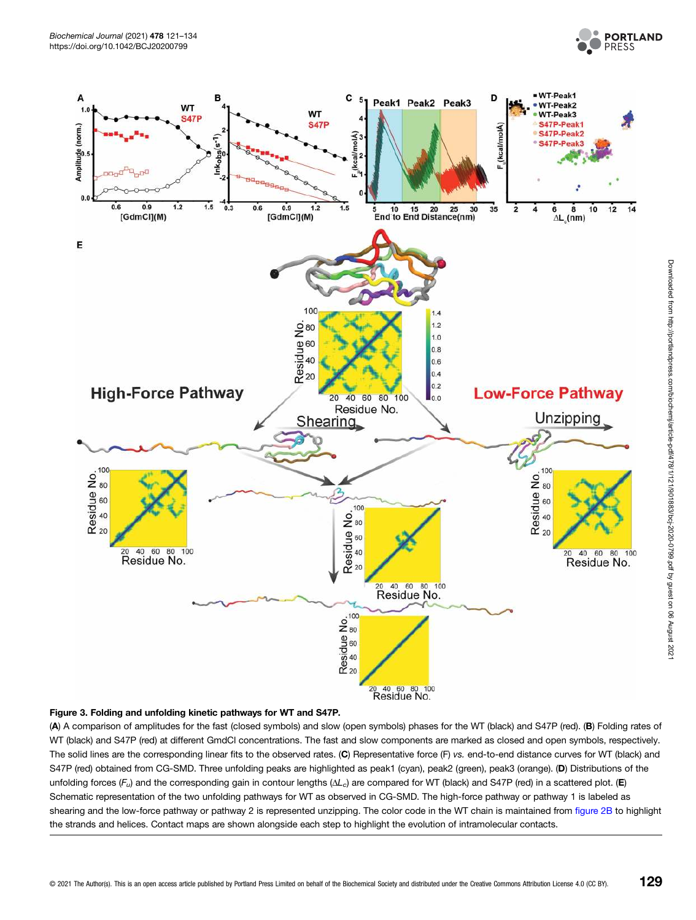



#### Figure 3. Folding and unfolding kinetic pathways for WT and S47P.

(A) A comparison of amplitudes for the fast (closed symbols) and slow (open symbols) phases for the WT (black) and S47P (red). (B) Folding rates of WT (black) and S47P (red) at different GmdCl concentrations. The fast and slow components are marked as closed and open symbols, respectively. The solid lines are the corresponding linear fits to the observed rates. (C) Representative force (F) vs. end-to-end distance curves for WT (black) and S47P (red) obtained from CG-SMD. Three unfolding peaks are highlighted as peak1 (cyan), peak2 (green), peak3 (orange). (D) Distributions of the unfolding forces  $(F_u)$  and the corresponding gain in contour lengths ( $\Delta L_c$ ) are compared for WT (black) and S47P (red) in a scattered plot. (E) Schematic representation of the two unfolding pathways for WT as observed in CG-SMD. The high-force pathway or pathway 1 is labeled as shearing and the low-force pathway or pathway 2 is represented unzipping. The color code in the WT chain is maintained from figure 2B to highlight the strands and helices. Contact maps are shown alongside each step to highlight the evolution of intramolecular contacts.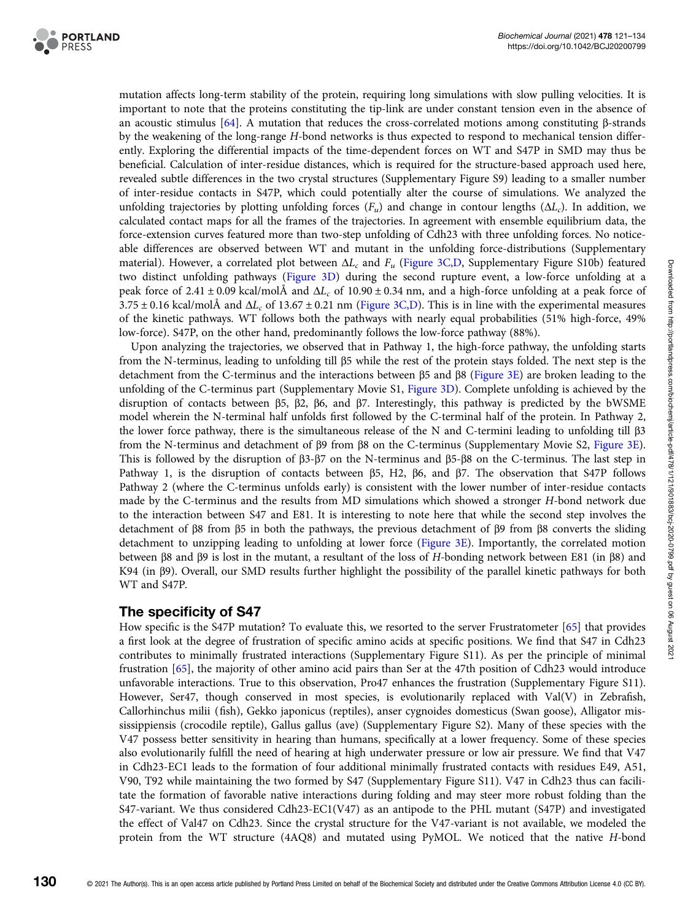

mutation affects long-term stability of the protein, requiring long simulations with slow pulling velocities. It is important to note that the proteins constituting the tip-link are under constant tension even in the absence of an acoustic stimulus [64]. A mutation that reduces the cross-correlated motions among constituting β-strands by the weakening of the long-range H-bond networks is thus expected to respond to mechanical tension differently. Exploring the differential impacts of the time-dependent forces on WT and S47P in SMD may thus be beneficial. Calculation of inter-residue distances, which is required for the structure-based approach used here, revealed subtle differences in the two crystal structures (Supplementary Figure S9) leading to a smaller number of inter-residue contacts in S47P, which could potentially alter the course of simulations. We analyzed the unfolding trajectories by plotting unfolding forces  $(F_u)$  and change in contour lengths ( $\Delta L_c$ ). In addition, we calculated contact maps for all the frames of the trajectories. In agreement with ensemble equilibrium data, the force-extension curves featured more than two-step unfolding of Cdh23 with three unfolding forces. No noticeable differences are observed between WT and mutant in the unfolding force-distributions (Supplementary material). However, a correlated plot between  $\Delta L_c$  and  $F_u$  (Figure 3C,D, Supplementary Figure S10b) featured two distinct unfolding pathways (Figure 3D) during the second rupture event, a low-force unfolding at a peak force of 2.41 ± 0.09 kcal/molÅ and  $\Delta L_c$  of 10.90 ± 0.34 nm, and a high-force unfolding at a peak force of  $3.75 \pm 0.16$  kcal/molÅ and  $\Delta L_c$  of 13.67  $\pm$  0.21 nm (Figure 3C,D). This is in line with the experimental measures of the kinetic pathways. WT follows both the pathways with nearly equal probabilities (51% high-force, 49% low-force). S47P, on the other hand, predominantly follows the low-force pathway (88%).

Upon analyzing the trajectories, we observed that in Pathway 1, the high-force pathway, the unfolding starts from the N-terminus, leading to unfolding till β5 while the rest of the protein stays folded. The next step is the detachment from the C-terminus and the interactions between β5 and β8 (Figure 3E) are broken leading to the unfolding of the C-terminus part (Supplementary Movie S1, Figure 3D). Complete unfolding is achieved by the disruption of contacts between β5, β2, β6, and β7. Interestingly, this pathway is predicted by the bWSME model wherein the N-terminal half unfolds first followed by the C-terminal half of the protein. In Pathway 2, the lower force pathway, there is the simultaneous release of the N and C-termini leading to unfolding till β3 from the N-terminus and detachment of β9 from β8 on the C-terminus (Supplementary Movie S2, Figure 3E). This is followed by the disruption of β3-β7 on the N-terminus and β5-β8 on the C-terminus. The last step in Pathway 1, is the disruption of contacts between β5, H2, β6, and β7. The observation that S47P follows Pathway 2 (where the C-terminus unfolds early) is consistent with the lower number of inter-residue contacts made by the C-terminus and the results from MD simulations which showed a stronger H-bond network due to the interaction between S47 and E81. It is interesting to note here that while the second step involves the detachment of β8 from β5 in both the pathways, the previous detachment of β9 from β8 converts the sliding detachment to unzipping leading to unfolding at lower force (Figure 3E). Importantly, the correlated motion between β8 and β9 is lost in the mutant, a resultant of the loss of H-bonding network between E81 (in β8) and K94 (in β9). Overall, our SMD results further highlight the possibility of the parallel kinetic pathways for both WT and S47P.

# The specificity of S47

How specific is the S47P mutation? To evaluate this, we resorted to the server Frustratometer [65] that provides a first look at the degree of frustration of specific amino acids at specific positions. We find that S47 in Cdh23 contributes to minimally frustrated interactions (Supplementary Figure S11). As per the principle of minimal frustration [65], the majority of other amino acid pairs than Ser at the 47th position of Cdh23 would introduce unfavorable interactions. True to this observation, Pro47 enhances the frustration (Supplementary Figure S11). However, Ser47, though conserved in most species, is evolutionarily replaced with Val(V) in Zebrafish, Callorhinchus milii (fish), Gekko japonicus (reptiles), anser cygnoides domesticus (Swan goose), Alligator mississippiensis (crocodile reptile), Gallus gallus (ave) (Supplementary Figure S2). Many of these species with the V47 possess better sensitivity in hearing than humans, specifically at a lower frequency. Some of these species also evolutionarily fulfill the need of hearing at high underwater pressure or low air pressure. We find that V47 in Cdh23-EC1 leads to the formation of four additional minimally frustrated contacts with residues E49, A51, V90, T92 while maintaining the two formed by S47 (Supplementary Figure S11). V47 in Cdh23 thus can facilitate the formation of favorable native interactions during folding and may steer more robust folding than the S47-variant. We thus considered Cdh23-EC1(V47) as an antipode to the PHL mutant (S47P) and investigated the effect of Val47 on Cdh23. Since the crystal structure for the V47-variant is not available, we modeled the protein from the WT structure (4AQ8) and mutated using PyMOL. We noticed that the native H-bond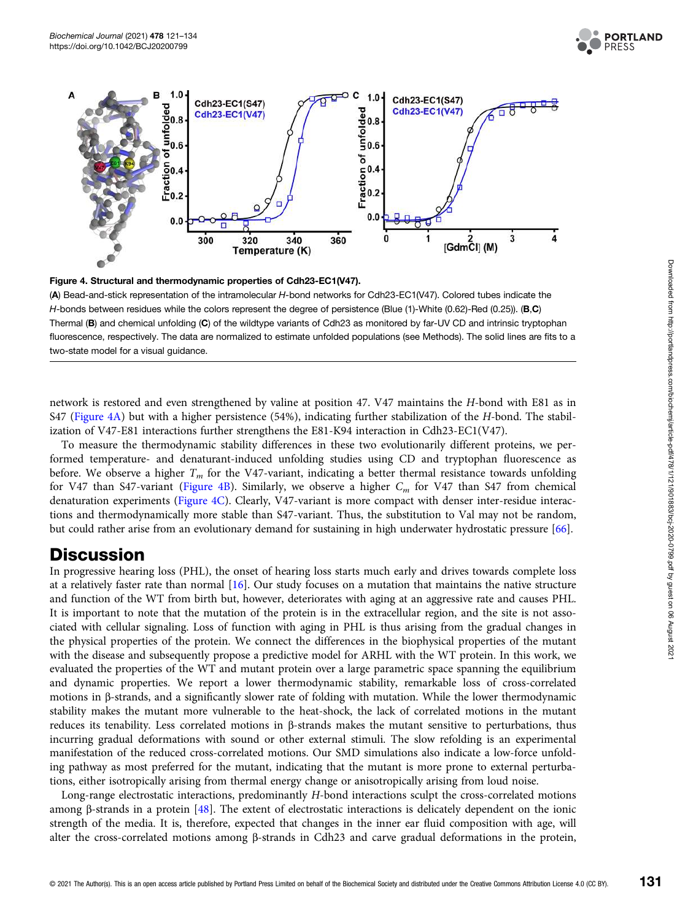





(A) Bead-and-stick representation of the intramolecular H-bond networks for Cdh23-EC1(V47). Colored tubes indicate the H-bonds between residues while the colors represent the degree of persistence (Blue (1)-White (0.62)-Red (0.25)). (B,C) Thermal (B) and chemical unfolding (C) of the wildtype variants of Cdh23 as monitored by far-UV CD and intrinsic tryptophan fluorescence, respectively. The data are normalized to estimate unfolded populations (see Methods). The solid lines are fits to a two-state model for a visual guidance.

network is restored and even strengthened by valine at position 47. V47 maintains the H-bond with E81 as in S47 (Figure 4A) but with a higher persistence (54%), indicating further stabilization of the H-bond. The stabilization of V47-E81 interactions further strengthens the E81-K94 interaction in Cdh23-EC1(V47).

To measure the thermodynamic stability differences in these two evolutionarily different proteins, we performed temperature- and denaturant-induced unfolding studies using CD and tryptophan fluorescence as before. We observe a higher  $T_m$  for the V47-variant, indicating a better thermal resistance towards unfolding for V47 than S47-variant (Figure 4B). Similarly, we observe a higher  $C_m$  for V47 than S47 from chemical denaturation experiments (Figure 4C). Clearly, V47-variant is more compact with denser inter-residue interactions and thermodynamically more stable than S47-variant. Thus, the substitution to Val may not be random, but could rather arise from an evolutionary demand for sustaining in high underwater hydrostatic pressure [66].

# **Discussion**

In progressive hearing loss (PHL), the onset of hearing loss starts much early and drives towards complete loss at a relatively faster rate than normal [16]. Our study focuses on a mutation that maintains the native structure and function of the WT from birth but, however, deteriorates with aging at an aggressive rate and causes PHL. It is important to note that the mutation of the protein is in the extracellular region, and the site is not associated with cellular signaling. Loss of function with aging in PHL is thus arising from the gradual changes in the physical properties of the protein. We connect the differences in the biophysical properties of the mutant with the disease and subsequently propose a predictive model for ARHL with the WT protein. In this work, we evaluated the properties of the WT and mutant protein over a large parametric space spanning the equilibrium and dynamic properties. We report a lower thermodynamic stability, remarkable loss of cross-correlated motions in β-strands, and a significantly slower rate of folding with mutation. While the lower thermodynamic stability makes the mutant more vulnerable to the heat-shock, the lack of correlated motions in the mutant reduces its tenability. Less correlated motions in β-strands makes the mutant sensitive to perturbations, thus incurring gradual deformations with sound or other external stimuli. The slow refolding is an experimental manifestation of the reduced cross-correlated motions. Our SMD simulations also indicate a low-force unfolding pathway as most preferred for the mutant, indicating that the mutant is more prone to external perturbations, either isotropically arising from thermal energy change or anisotropically arising from loud noise.

Long-range electrostatic interactions, predominantly H-bond interactions sculpt the cross-correlated motions among β-strands in a protein [48]. The extent of electrostatic interactions is delicately dependent on the ionic strength of the media. It is, therefore, expected that changes in the inner ear fluid composition with age, will alter the cross-correlated motions among β-strands in Cdh23 and carve gradual deformations in the protein,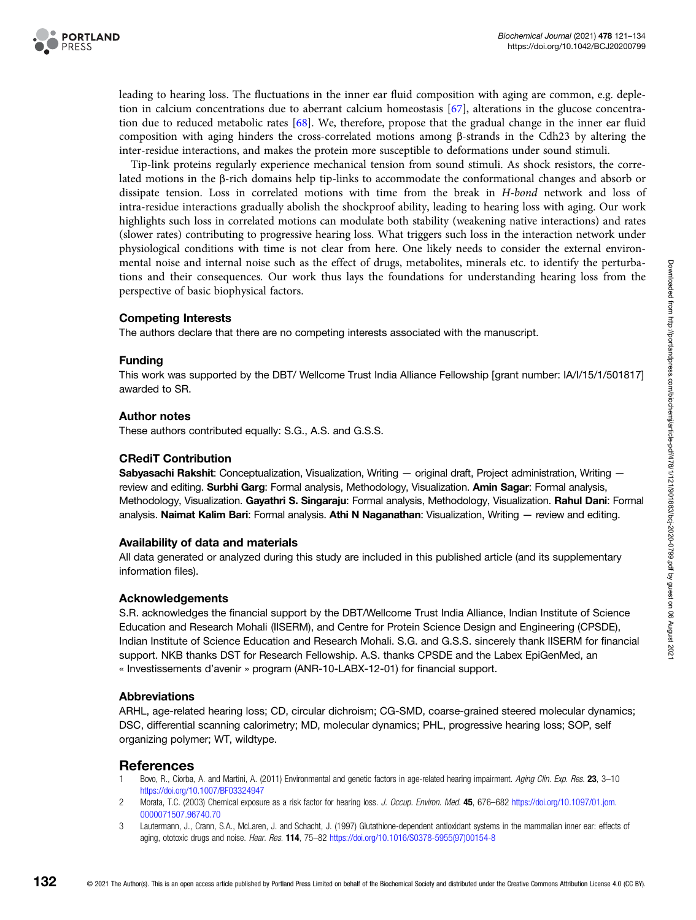

leading to hearing loss. The fluctuations in the inner ear fluid composition with aging are common, e.g. depletion in calcium concentrations due to aberrant calcium homeostasis [67], alterations in the glucose concentration due to reduced metabolic rates [68]. We, therefore, propose that the gradual change in the inner ear fluid composition with aging hinders the cross-correlated motions among β-strands in the Cdh23 by altering the inter-residue interactions, and makes the protein more susceptible to deformations under sound stimuli.

Tip-link proteins regularly experience mechanical tension from sound stimuli. As shock resistors, the correlated motions in the β-rich domains help tip-links to accommodate the conformational changes and absorb or dissipate tension. Loss in correlated motions with time from the break in H-bond network and loss of intra-residue interactions gradually abolish the shockproof ability, leading to hearing loss with aging. Our work highlights such loss in correlated motions can modulate both stability (weakening native interactions) and rates (slower rates) contributing to progressive hearing loss. What triggers such loss in the interaction network under physiological conditions with time is not clear from here. One likely needs to consider the external environmental noise and internal noise such as the effect of drugs, metabolites, minerals etc. to identify the perturbations and their consequences. Our work thus lays the foundations for understanding hearing loss from the perspective of basic biophysical factors.

#### Competing Interests

The authors declare that there are no competing interests associated with the manuscript.

#### Funding

This work was supported by the DBT/ Wellcome Trust India Alliance Fellowship [grant number: IA/I/15/1/501817] awarded to SR.

#### Author notes

These authors contributed equally: S.G., A.S. and G.S.S.

#### CRediT Contribution

Sabyasachi Rakshit: Conceptualization, Visualization, Writing — original draft, Project administration, Writing review and editing. Surbhi Garg: Formal analysis, Methodology, Visualization. Amin Sagar: Formal analysis, Methodology, Visualization. Gayathri S. Singaraju: Formal analysis, Methodology, Visualization. Rahul Dani: Formal analysis. Naimat Kalim Bari: Formal analysis. Athi N Naganathan: Visualization, Writing — review and editing.

#### Availability of data and materials

All data generated or analyzed during this study are included in this published article (and its supplementary information files).

#### Acknowledgements

S.R. acknowledges the financial support by the DBT/Wellcome Trust India Alliance, Indian Institute of Science Education and Research Mohali (IISERM), and Centre for Protein Science Design and Engineering (CPSDE), Indian Institute of Science Education and Research Mohali. S.G. and G.S.S. sincerely thank IISERM for financial support. NKB thanks DST for Research Fellowship. A.S. thanks CPSDE and the Labex EpiGenMed, an « Investissements d'avenir » program (ANR-10-LABX-12-01) for financial support.

#### Abbreviations

ARHL, age-related hearing loss; CD, circular dichroism; CG-SMD, coarse-grained steered molecular dynamics; DSC, differential scanning calorimetry; MD, molecular dynamics; PHL, progressive hearing loss; SOP, self organizing polymer; WT, wildtype.

#### References

- Bovo, R., Ciorba, A. and Martini, A. (2011) Environmental and genetic factors in age-related hearing impairment. Aging Clin. Exp. Res. 23, 3-10 https://doi.org/10.1007/BF03324947
- 2 Morata, T.C. (2003) Chemical exposure as a risk factor for hearing loss. J. Occup. Environ. Med. 45, 676-682 https://doi.org/10.1097/01.jom. 0000071507.96740.70
- 3 Lautermann, J., Crann, S.A., McLaren, J. and Schacht, J. (1997) Glutathione-dependent antioxidant systems in the mammalian inner ear: effects of aging, ototoxic drugs and noise. Hear. Res. 114, 75–82 https://doi.org/10.1016/S0378-5955(97)00154-8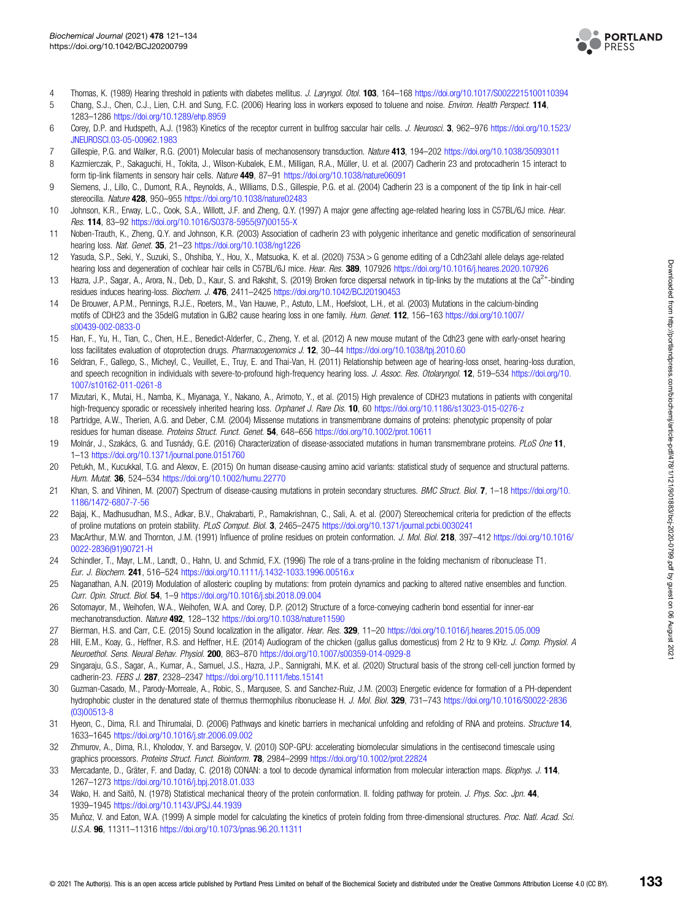

- 4 Thomas, K. (1989) Hearing threshold in patients with diabetes mellitus. J. Laryngol. Otol. 103, 164–168 https://doi.org/10.1017/S0022215100110394<br>5 Chang. S.J., Chen. C.J., Lien. C.H. and Sung. F.C. (2006) Hearing loss i
- Chang, S.J., Chen, C.J., Lien, C.H. and Sung, F.C. (2006) Hearing loss in workers exposed to toluene and noise. Environ. Health Perspect. 114, 1283–1286 https://doi.org/10.1289/ehp.8959
- 6 Corey, D.P. and Hudspeth, A.J. (1983) Kinetics of the receptor current in bullfrog saccular hair cells. J. Neurosci. 3, 962–976 https://doi.org/10.1523/ JNEUROSCI.03-05-00962.1983
- 7 Gillespie, P.G. and Walker, R.G. (2001) Molecular basis of mechanosensory transduction. Nature 413, 194–202 https://doi.org/10.1038/35093011
- 8 Kazmierczak, P., Sakaguchi, H., Tokita, J., Wilson-Kubalek, E.M., Milligan, R.A., Müller, U. et al. (2007) Cadherin 23 and protocadherin 15 interact to form tip-link filaments in sensory hair cells. Nature 449, 87-91 https://doi.org/10.1038/nature06091
- 9 Siemens, J., Lillo, C., Dumont, R.A., Reynolds, A., Williams, D.S., Gillespie, P.G. et al. (2004) Cadherin 23 is a component of the tip link in hair-cell stereocilla. Nature 428, 950-955 https://doi.org/10.1038/nature02483
- 10 Johnson, K.R., Erway, L.C., Cook, S.A., Willott, J.F. and Zheng, Q.Y. (1997) A major gene affecting age-related hearing loss in C57BL/6J mice. Hear. Res. 114, 83–92 https://doi.org/10.1016/S0378-5955(97)00155-X
- 11 Noben-Trauth, K., Zheng, Q.Y. and Johnson, K.R. (2003) Association of cadherin 23 with polygenic inheritance and genetic modification of sensorineural hearing loss. Nat. Genet. 35, 21–23 https://doi.org/10.1038/ng1226
- 12 Yasuda, S.P., Seki, Y., Suzuki, S., Ohshiba, Y., Hou, X., Matsuoka, K. et al. (2020) 753A > G genome editing of a Cdh23ahl allele delays age-related hearing loss and degeneration of cochlear hair cells in C57BL/6J mice. Hear. Res. 389, 107926 https://doi.org/10.1016/j.heares.2020.107926
- 13 Hazra, J.P., Sagar, A., Arora, N., Deb, D., Kaur, S. and Rakshit, S. (2019) Broken force dispersal network in tip-links by the mutations at the Ca<sup>2+</sup>-binding residues induces hearing-loss. Biochem. J. 476, 2411-2425 https://doi.org/10.1042/BCJ20190453
- 14 De Brouwer, A.P.M., Pennings, R.J.E., Roeters, M., Van Hauwe, P., Astuto, L.M., Hoefsloot, L.H., et al. (2003) Mutations in the calcium-binding motifs of CDH23 and the 35delG mutation in GJB2 cause hearing loss in one family. Hum. Genet. 112, 156–163 https://doi.org/10.1007/ s00439-002-0833-0
- 15 Han, F., Yu, H., Tian, C., Chen, H.E., Benedict-Alderfer, C., Zheng, Y. et al. (2012) A new mouse mutant of the Cdh23 gene with early-onset hearing loss facilitates evaluation of otoprotection drugs. Pharmacogenomics J. 12, 30–44 https://doi.org/10.1038/tpj.2010.60
- 16 Seldran, F., Gallego, S., Micheyl, C., Veuillet, E., Truy, E. and Thai-Van, H. (2011) Relationship between age of hearing-loss onset, hearing-loss duration, and speech recognition in individuals with severe-to-profound high-frequency hearing loss. J. Assoc. Res. Otolaryngol. 12, 519-534 https://doi.org/10. 1007/s10162-011-0261-8
- 17 Mizutari, K., Mutai, H., Namba, K., Miyanaga, Y., Nakano, A., Arimoto, Y., et al. (2015) High prevalence of CDH23 mutations in patients with congenital high-frequency sporadic or recessively inherited hearing loss. Orphanet J. Rare Dis. 10, 60 https://doi.org/10.1186/s13023-015-0276-z
- 18 Partridge, A.W., Therien, A.G. and Deber, C.M. (2004) Missense mutations in transmembrane domains of proteins: phenotypic propensity of polar residues for human disease. Proteins Struct. Funct. Genet. 54, 648-656 https://doi.org/10.1002/prot.10611
- 19 Molnár, J., Szakács, G. and Tusnády, G.E. (2016) Characterization of disease-associated mutations in human transmembrane proteins. PLoS One 11, 1–13 https://doi.org/10.1371/journal.pone.0151760
- 20 Petukh, M., Kucukkal, T.G. and Alexov, E. (2015) On human disease-causing amino acid variants: statistical study of sequence and structural patterns. Hum. Mutat. 36, 524–534 https://doi.org/10.1002/humu.22770
- 21 Khan, S. and Vihinen, M. (2007) Spectrum of disease-causing mutations in protein secondary structures. BMC Struct. Biol. 7, 1-18 https://doi.org/10. 1186/1472-6807-7-56
- 22 Bajaj, K., Madhusudhan, M.S., Adkar, B.V., Chakrabarti, P., Ramakrishnan, C., Sali, A. et al. (2007) Stereochemical criteria for prediction of the effects of proline mutations on protein stability. PLoS Comput. Biol. 3, 2465–2475 https://doi.org/10.1371/journal.pcbi.0030241
- 23 MacArthur, M.W. and Thornton, J.M. (1991) Influence of proline residues on protein conformation. J. Mol. Biol. 218, 397-412 https://doi.org/10.1016/ 0022-2836(91)90721-H
- 24 Schindler, T., Mayr, L.M., Landt, O., Hahn, U. and Schmid, F.X. (1996) The role of a trans-proline in the folding mechanism of ribonuclease T1. Eur. J. Biochem. 241, 516–524 https://doi.org/10.1111/j.1432-1033.1996.00516.x
- 25 Naganathan, A.N. (2019) Modulation of allosteric coupling by mutations: from protein dynamics and packing to altered native ensembles and function. Curr. Opin. Struct. Biol. 54, 1–9 https://doi.org/10.1016/j.sbi.2018.09.004
- 26 Sotomayor, M., Weihofen, W.A., Weihofen, W.A. and Corey, D.P. (2012) Structure of a force-conveying cadherin bond essential for inner-ear mechanotransduction. Nature 492, 128-132 https://doi.org/10.1038/nature11590
- 27 Bierman, H.S. and Carr, C.E. (2015) Sound localization in the alligator. Hear. Res. 329, 11-20 https://doi.org/10.1016/j.heares.2015.05.009
- 28 Hill, E.M., Koay, G., Heffner, R.S. and Heffner, H.E. (2014) Audiogram of the chicken (gallus gallus domesticus) from 2 Hz to 9 KHz. J. Comp. Physiol. A Neuroethol. Sens. Neural Behav. Physiol. 200, 863–870 https://doi.org/10.1007/s00359-014-0929-8
- 29 Singaraju, G.S., Sagar, A., Kumar, A., Samuel, J.S., Hazra, J.P., Sannigrahi, M.K. et al. (2020) Structural basis of the strong cell-cell junction formed by cadherin-23. FEBS J. 287, 2328–2347 https://doi.org/10.1111/febs.15141
- 30 Guzman-Casado, M., Parody-Morreale, A., Robic, S., Marqusee, S. and Sanchez-Ruiz, J.M. (2003) Energetic evidence for formation of a PH-dependent hydrophobic cluster in the denatured state of thermus thermophilus ribonuclease H. J. Mol. Biol. 329, 731-743 https://doi.org/10.1016/S0022-2836 (03)00513-8
- 31 Hyeon, C., Dima, R.I. and Thirumalai, D. (2006) Pathways and kinetic barriers in mechanical unfolding and refolding of RNA and proteins. Structure 14, 1633–1645 https://doi.org/10.1016/j.str.2006.09.002
- 32 Zhmurov, A., Dima, R.I., Kholodov, Y. and Barsegov, V. (2010) SOP-GPU: accelerating biomolecular simulations in the centisecond timescale using graphics processors. Proteins Struct. Funct. Bioinform. 78, 2984-2999 https://doi.org/10.1002/prot.22824
- 33 Mercadante, D., Gräter, F. and Daday, C. (2018) CONAN: a tool to decode dynamical information from molecular interaction maps. Biophys. J. 114, 1267–1273 https://doi.org/10.1016/j.bpj.2018.01.033
- 34 Wako, H. and Saitô, N. (1978) Statistical mechanical theory of the protein conformation. II. folding pathway for protein. J. Phys. Soc. Jpn. 44, 1939–1945 https://doi.org/10.1143/JPSJ.44.1939
- 35 Muñoz, V. and Eaton, W.A. (1999) A simple model for calculating the kinetics of protein folding from three-dimensional structures. Proc. Natl. Acad. Sci. U.S.A. 96, 11311–11316 https://doi.org/10.1073/pnas.96.20.11311